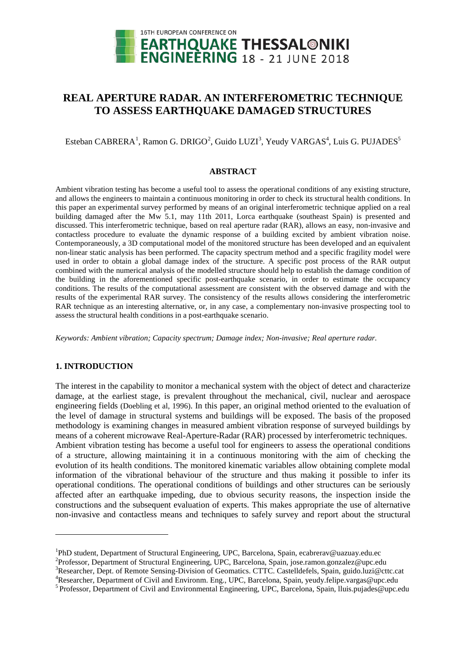

# **REAL APERTURE RADAR. AN INTERFEROMETRIC TECHNIQUE TO ASSESS EARTHQUAKE DAMAGED STRUCTURES**

Esteban CABRERA<sup>[1](#page-0-0)</sup>, Ramon G. DRIGO<sup>[2](#page-0-1)</sup>, Guido LUZI<sup>[3](#page-0-2)</sup>, Yeudy VARGAS<sup>4</sup>, Luis G. PUJADES<sup>5</sup>

#### **ABSTRACT**

Ambient vibration testing has become a useful tool to assess the operational conditions of any existing structure, and allows the engineers to maintain a continuous monitoring in order to check its structural health conditions. In this paper an experimental survey performed by means of an original interferometric technique applied on a real building damaged after the Mw 5.1, may 11th 2011, Lorca earthquake (southeast Spain) is presented and discussed. This interferometric technique, based on real aperture radar (RAR), allows an easy, non-invasive and contactless procedure to evaluate the dynamic response of a building excited by ambient vibration noise. Contemporaneously, a 3D computational model of the monitored structure has been developed and an equivalent non-linear static analysis has been performed. The capacity spectrum method and a specific fragility model were used in order to obtain a global damage index of the structure. A specific post process of the RAR output combined with the numerical analysis of the modelled structure should help to establish the damage condition of the building in the aforementioned specific post-earthquake scenario, in order to estimate the occupancy conditions. The results of the computational assessment are consistent with the observed damage and with the results of the experimental RAR survey. The consistency of the results allows considering the interferometric RAR technique as an interesting alternative, or, in any case, a complementary non-invasive prospecting tool to assess the structural health conditions in a post-earthquake scenario.

*Keywords: Ambient vibration; Capacity spectrum; Damage index; Non-invasive; Real aperture radar.*

# **1. INTRODUCTION**

<u>.</u>

The interest in the capability to monitor a mechanical system with the object of detect and characterize damage, at the earliest stage, is prevalent throughout the mechanical, civil, nuclear and aerospace engineering fields (Doebling et al, 1996). In this paper, an original method oriented to the evaluation of the level of damage in structural systems and buildings will be exposed. The basis of the proposed methodology is examining changes in measured ambient vibration response of surveyed buildings by means of a coherent microwave Real-Aperture-Radar (RAR) processed by interferometric techniques. Ambient vibration testing has become a useful tool for engineers to assess the operational conditions of a structure, allowing maintaining it in a continuous monitoring with the aim of checking the evolution of its health conditions. The monitored kinematic variables allow obtaining complete modal information of the vibrational behaviour of the structure and thus making it possible to infer its operational conditions. The operational conditions of buildings and other structures can be seriously affected after an earthquake impeding, due to obvious security reasons, the inspection inside the constructions and the subsequent evaluation of experts. This makes appropriate the use of alternative non-invasive and contactless means and techniques to safely survey and report about the structural

<sup>&</sup>lt;sup>1</sup>PhD student, Department of Structural Engineering, UPC, Barcelona, Spain, ecabrerav@uazuay.edu.ec<br><sup>2</sup>Professor, Department of Structural Engineering, UPC, Barcelona, Spain, isse ramon gonzalez@upc.co

<span id="page-0-1"></span><span id="page-0-0"></span><sup>&</sup>lt;sup>2</sup>Professor, Department of Structural Engineering, UPC, Barcelona, Spain, jose.ramon.gonzalez@upc.edu

<span id="page-0-2"></span><sup>&</sup>lt;sup>3</sup>Researcher, Dept. of Remote Sensing-Division of Geomatics. CTTC. Castelldefels, Spain, [guido.luzi@cttc.cat](mailto:guido.luzi@cttc.cat)<br><sup>4</sup>Researcher, Department of Civil and Environm. Eng., LIPC. Bergelang, Spain, wurdy faling verges@ups edu.

<sup>&</sup>lt;sup>4</sup>Researcher, Department of Civil and Environm. Eng., UPC, Barcelona, Spain, yeudy.felipe.vargas@upc.edu <sup>5</sup> Professor, Department of Civil and Environmental Engineering, UPC, Barcelona, Spain, Iluis.pujades@upc.edu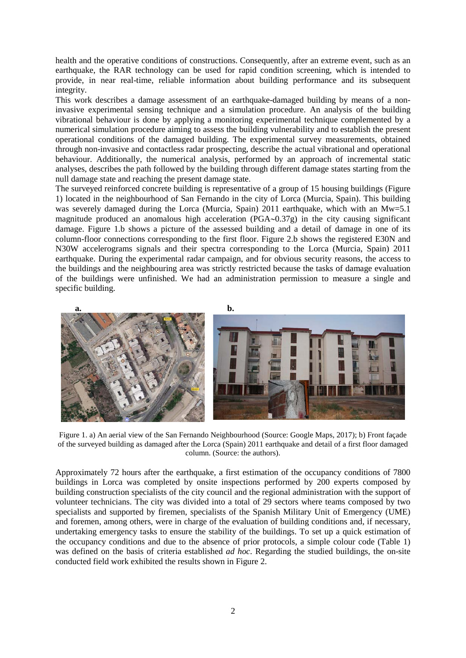health and the operative conditions of constructions. Consequently, after an extreme event, such as an earthquake, the RAR technology can be used for rapid condition screening, which is intended to provide, in near real-time, reliable information about building performance and its subsequent integrity.

This work describes a damage assessment of an earthquake-damaged building by means of a noninvasive experimental sensing technique and a simulation procedure. An analysis of the building vibrational behaviour is done by applying a monitoring experimental technique complemented by a numerical simulation procedure aiming to assess the building vulnerability and to establish the present operational conditions of the damaged building. The experimental survey measurements, obtained through non-invasive and contactless radar prospecting, describe the actual vibrational and operational behaviour. Additionally, the numerical analysis, performed by an approach of incremental static analyses, describes the path followed by the building through different damage states starting from the null damage state and reaching the present damage state.

The surveyed reinforced concrete building is representative of a group of 15 housing buildings (Figure 1) located in the neighbourhood of San Fernando in the city of Lorca (Murcia, Spain). This building was severely damaged during the Lorca (Murcia, Spain) 2011 earthquake, which with an Mw=5.1 magnitude produced an anomalous high acceleration (PGA∼0.37g) in the city causing significant damage. Figure 1.b shows a picture of the assessed building and a detail of damage in one of its column-floor connections corresponding to the first floor. Figure 2.b shows the registered E30N and N30W accelerograms signals and their spectra corresponding to the Lorca (Murcia, Spain) 2011 earthquake. During the experimental radar campaign, and for obvious security reasons, the access to the buildings and the neighbouring area was strictly restricted because the tasks of damage evaluation of the buildings were unfinished. We had an administration permission to measure a single and specific building.



Figure 1. a) An aerial view of the San Fernando Neighbourhood (Source: Google Maps, 2017); b) Front façade of the surveyed building as damaged after the Lorca (Spain) 2011 earthquake and detail of a first floor damaged column. (Source: the authors).

Approximately 72 hours after the earthquake, a first estimation of the occupancy conditions of 7800 buildings in Lorca was completed by onsite inspections performed by 200 experts composed by building construction specialists of the city council and the regional administration with the support of volunteer technicians. The city was divided into a total of 29 sectors where teams composed by two specialists and supported by firemen, specialists of the Spanish Military Unit of Emergency (UME) and foremen, among others, were in charge of the evaluation of building conditions and, if necessary, undertaking emergency tasks to ensure the stability of the buildings. To set up a quick estimation of the occupancy conditions and due to the absence of prior protocols, a simple colour code (Table 1) was defined on the basis of criteria established *ad hoc*. Regarding the studied buildings, the on-site conducted field work exhibited the results shown in Figure 2.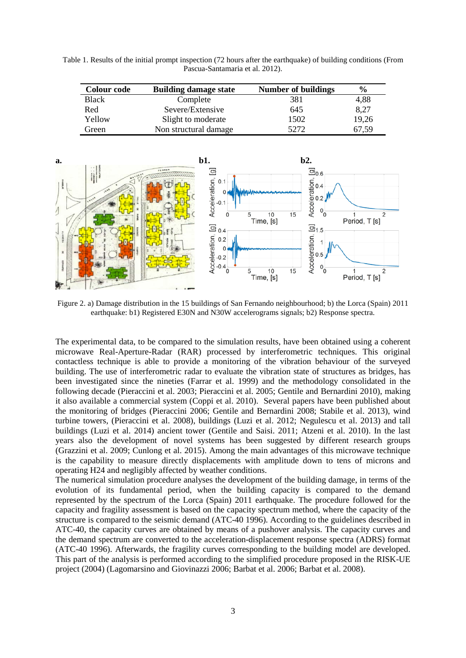Table 1. Results of the initial prompt inspection (72 hours after the earthquake) of building conditions (From Pascua-Santamaria et al. 2012).

| <b>Colour code</b> | <b>Building damage state</b> | <b>Number of buildings</b> | $\%$  |
|--------------------|------------------------------|----------------------------|-------|
| Black              | Complete                     | 381                        | 4,88  |
| Red                | Severe/Extensive             | 645                        | 8,27  |
| Yellow             | Slight to moderate           | 1502                       | 19,26 |
| Green              | Non structural damage        | 5272                       | 67,59 |



Figure 2. a) Damage distribution in the 15 buildings of San Fernando neighbourhood; b) the Lorca (Spain) 2011 earthquake: b1) Registered E30N and N30W accelerograms signals; b2) Response spectra.

The experimental data, to be compared to the simulation results, have been obtained using a coherent microwave Real-Aperture-Radar (RAR) processed by interferometric techniques. This original contactless technique is able to provide a monitoring of the vibration behaviour of the surveyed building. The use of interferometric radar to evaluate the vibration state of structures as bridges, has been investigated since the nineties (Farrar et al. 1999) and the methodology consolidated in the following decade (Pieraccini et al. 2003; Pieraccini et al. 2005; Gentile and Bernardini 2010), making it also available a commercial system (Coppi et al. 2010). Several papers have been published about the monitoring of bridges (Pieraccini 2006; Gentile and Bernardini 2008; Stabile et al. 2013), wind turbine towers, (Pieraccini et al. 2008), buildings (Luzi et al. 2012; Negulescu et al. 2013) and tall buildings (Luzi et al. 2014) ancient tower (Gentile and Saisi. 2011; Atzeni et al. 2010). In the last years also the development of novel systems has been suggested by different research groups (Grazzini et al. 2009; Cunlong et al. 2015). Among the main advantages of this microwave technique is the capability to measure directly displacements with amplitude down to tens of microns and operating H24 and negligibly affected by weather conditions.

The numerical simulation procedure analyses the development of the building damage, in terms of the evolution of its fundamental period, when the building capacity is compared to the demand represented by the spectrum of the Lorca (Spain) 2011 earthquake. The procedure followed for the capacity and fragility assessment is based on the capacity spectrum method, where the capacity of the structure is compared to the seismic demand (ATC-40 1996). According to the guidelines described in ATC-40, the capacity curves are obtained by means of a pushover analysis. The capacity curves and the demand spectrum are converted to the acceleration-displacement response spectra (ADRS) format (ATC-40 1996). Afterwards, the fragility curves corresponding to the building model are developed. This part of the analysis is performed according to the simplified procedure proposed in the RISK-UE project (2004) (Lagomarsino and Giovinazzi 2006; Barbat et al. 2006; Barbat et al. 2008).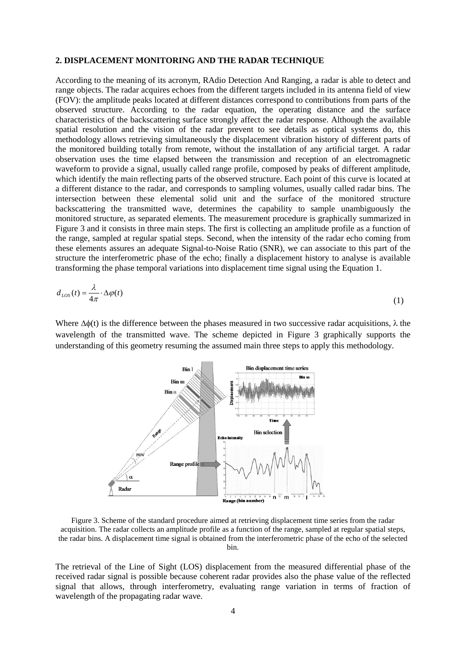## **2. DISPLACEMENT MONITORING AND THE RADAR TECHNIQUE**

According to the meaning of its acronym, RAdio Detection And Ranging, a radar is able to detect and range objects. The radar acquires echoes from the different targets included in its antenna field of view (FOV): the amplitude peaks located at different distances correspond to contributions from parts of the observed structure. According to the radar equation, the operating distance and the surface characteristics of the backscattering surface strongly affect the radar response. Although the available spatial resolution and the vision of the radar prevent to see details as optical systems do, this methodology allows retrieving simultaneously the displacement vibration history of different parts of the monitored building totally from remote, without the installation of any artificial target. A radar observation uses the time elapsed between the transmission and reception of an electromagnetic waveform to provide a signal, usually called range profile, composed by peaks of different amplitude, which identify the main reflecting parts of the observed structure. Each point of this curve is located at a different distance to the radar, and corresponds to sampling volumes, usually called radar bins. The intersection between these elemental solid unit and the surface of the monitored structure backscattering the transmitted wave, determines the capability to sample unambiguously the monitored structure, as separated elements. The measurement procedure is graphically summarized in Figure 3 and it consists in three main steps. The first is collecting an amplitude profile as a function of the range, sampled at regular spatial steps. Second, when the intensity of the radar echo coming from these elements assures an adequate Signal-to-Noise Ratio (SNR), we can associate to this part of the structure the interferometric phase of the echo; finally a displacement history to analyse is available transforming the phase temporal variations into displacement time signal using the Equation 1.

$$
d_{LoS}(t) = \frac{\lambda}{4\pi} \cdot \Delta \varphi(t) \tag{1}
$$

Where  $\Delta\phi(t)$  is the difference between the phases measured in two successive radar acquisitions,  $\lambda$  the wavelength of the transmitted wave. The scheme depicted in Figure 3 graphically supports the understanding of this geometry resuming the assumed main three steps to apply this methodology.



Figure 3. Scheme of the standard procedure aimed at retrieving displacement time series from the radar acquisition. The radar collects an amplitude profile as a function of the range, sampled at regular spatial steps, the radar bins. A displacement time signal is obtained from the interferometric phase of the echo of the selected bin.

The retrieval of the Line of Sight (LOS) displacement from the measured differential phase of the received radar signal is possible because coherent radar provides also the phase value of the reflected signal that allows, through interferometry, evaluating range variation in terms of fraction of wavelength of the propagating radar wave.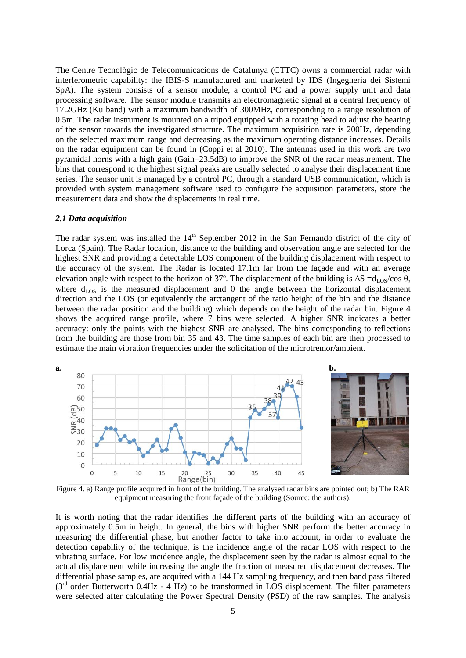The Centre Tecnològic de Telecomunicacions de Catalunya (CTTC) owns a commercial radar with interferometric capability: the IBIS-S manufactured and marketed by IDS (Ingegneria dei Sistemi SpA). The system consists of a sensor module, a control PC and a power supply unit and data processing software. The sensor module transmits an electromagnetic signal at a central frequency of 17.2GHz (Ku band) with a maximum bandwidth of 300MHz, corresponding to a range resolution of 0.5m. The radar instrument is mounted on a tripod equipped with a rotating head to adjust the bearing of the sensor towards the investigated structure. The maximum acquisition rate is 200Hz, depending on the selected maximum range and decreasing as the maximum operating distance increases. Details on the radar equipment can be found in (Coppi et al 2010). The antennas used in this work are two pyramidal horns with a high gain (Gain=23.5dB) to improve the SNR of the radar measurement. The bins that correspond to the highest signal peaks are usually selected to analyse their displacement time series. The sensor unit is managed by a control PC, through a standard USB communication, which is provided with system management software used to configure the acquisition parameters, store the measurement data and show the displacements in real time.

#### *2.1 Data acquisition*

The radar system was installed the 14<sup>th</sup> September 2012 in the San Fernando district of the city of Lorca (Spain). The Radar location, distance to the building and observation angle are selected for the highest SNR and providing a detectable LOS component of the building displacement with respect to the accuracy of the system. The Radar is located 17.1m far from the façade and with an average elevation angle with respect to the horizon of 37°. The displacement of the building is  $\Delta S = d_{\text{LOS}}/cos \theta$ , where  $d_{\text{LOS}}$  is the measured displacement and  $\theta$  the angle between the horizontal displacement direction and the LOS (or equivalently the arctangent of the ratio height of the bin and the distance between the radar position and the building) which depends on the height of the radar bin. Figure 4 shows the acquired range profile, where 7 bins were selected. A higher SNR indicates a better accuracy: only the points with the highest SNR are analysed. The bins corresponding to reflections from the building are those from bin 35 and 43. The time samples of each bin are then processed to estimate the main vibration frequencies under the solicitation of the microtremor/ambient.



Figure 4. a) Range profile acquired in front of the building. The analysed radar bins are pointed out; b) The RAR equipment measuring the front façade of the building (Source: the authors).

It is worth noting that the radar identifies the different parts of the building with an accuracy of approximately 0.5m in height. In general, the bins with higher SNR perform the better accuracy in measuring the differential phase, but another factor to take into account, in order to evaluate the detection capability of the technique, is the incidence angle of the radar LOS with respect to the vibrating surface. For low incidence angle, the displacement seen by the radar is almost equal to the actual displacement while increasing the angle the fraction of measured displacement decreases. The differential phase samples, are acquired with a 144 Hz sampling frequency, and then band pass filtered  $(3<sup>rd</sup> order Butterworth 0.4Hz - 4 Hz)$  to be transformed in LOS displacement. The filter parameters were selected after calculating the Power Spectral Density (PSD) of the raw samples. The analysis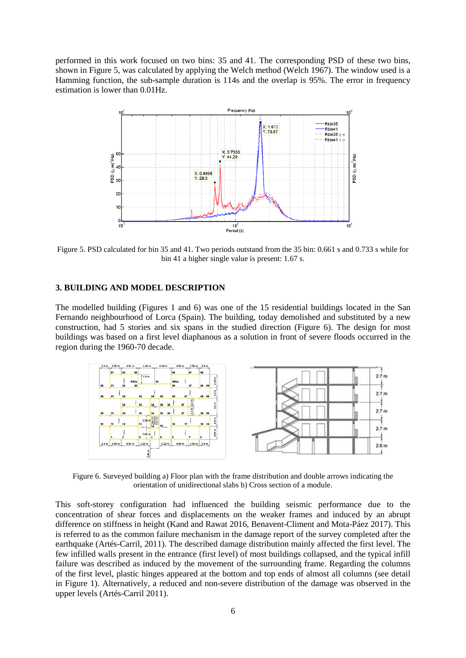performed in this work focused on two bins: 35 and 41. The corresponding PSD of these two bins, shown in Figure 5, was calculated by applying the Welch method (Welch 1967). The window used is a Hamming function, the sub-sample duration is 114s and the overlap is 95%. The error in frequency estimation is lower than 0.01Hz.



Figure 5. PSD calculated for bin 35 and 41. Two periods outstand from the 35 bin: 0.661 s and 0.733 s while for bin 41 a higher single value is present: 1.67 s.

## **3. BUILDING AND MODEL DESCRIPTION**

The modelled building (Figures 1 and 6) was one of the 15 residential buildings located in the San Fernando neighbourhood of Lorca (Spain). The building, today demolished and substituted by a new construction, had 5 stories and six spans in the studied direction (Figure 6). The design for most buildings was based on a first level diaphanous as a solution in front of severe floods occurred in the region during the 1960-70 decade.



Figure 6. Surveyed building a) Floor plan with the frame distribution and double arrows indicating the orientation of unidirectional slabs b) Cross section of a module.

This soft-storey configuration had influenced the building seismic performance due to the concentration of shear forces and displacements on the weaker frames and induced by an abrupt difference on stiffness in height (Kand and Rawat 2016, Benavent-Climent and Mota-Páez 2017). This is referred to as the common failure mechanism in the damage report of the survey completed after the earthquake (Artés-Carril, 2011). The described damage distribution mainly affected the first level. The few infilled walls present in the entrance (first level) of most buildings collapsed, and the typical infill failure was described as induced by the movement of the surrounding frame. Regarding the columns of the first level, plastic hinges appeared at the bottom and top ends of almost all columns (see detail in Figure 1). Alternatively, a reduced and non-severe distribution of the damage was observed in the upper levels (Artés-Carril 2011).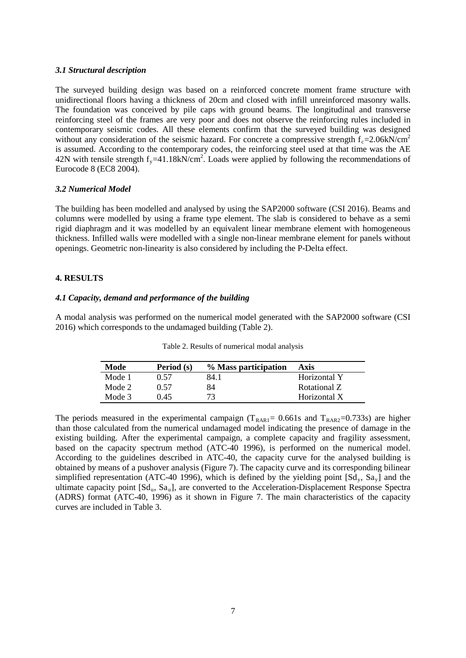## *3.1 Structural description*

The surveyed building design was based on a reinforced concrete moment frame structure with unidirectional floors having a thickness of 20cm and closed with infill unreinforced masonry walls. The foundation was conceived by pile caps with ground beams. The longitudinal and transverse reinforcing steel of the frames are very poor and does not observe the reinforcing rules included in contemporary seismic codes. All these elements confirm that the surveyed building was designed without any consideration of the seismic hazard. For concrete a compressive strength  $f_c$ =2.06kN/cm<sup>2</sup> is assumed. According to the contemporary codes, the reinforcing steel used at that time was the AE 42N with tensile strength  $f_y = 41.18 \text{kN/cm}^2$ . Loads were applied by following the recommendations of Eurocode 8 (EC8 2004).

## *3.2 Numerical Model*

The building has been modelled and analysed by using the SAP2000 software (CSI 2016). Beams and columns were modelled by using a frame type element. The slab is considered to behave as a semi rigid diaphragm and it was modelled by an equivalent linear membrane element with homogeneous thickness. Infilled walls were modelled with a single non-linear membrane element for panels without openings. Geometric non-linearity is also considered by including the P-Delta effect.

## **4. RESULTS**

## *4.1 Capacity, demand and performance of the building*

A modal analysis was performed on the numerical model generated with the SAP2000 software (CSI 2016) which corresponds to the undamaged building (Table 2).

| Mode   | Period (s) | % Mass participation | <b>Axis</b>  |
|--------|------------|----------------------|--------------|
| Mode 1 | 0 57       | 84.1                 | Horizontal Y |
| Mode 2 | (157)      | 84                   | Rotational Z |
| Mode 3 | 0 45       | 73                   | Horizontal X |

Table 2. Results of numerical modal analysis

The periods measured in the experimental campaign ( $T_{RAR1}$ = 0.661s and  $T_{RAR2}$ =0.733s) are higher than those calculated from the numerical undamaged model indicating the presence of damage in the existing building. After the experimental campaign, a complete capacity and fragility assessment, based on the capacity spectrum method (ATC-40 1996), is performed on the numerical model. According to the guidelines described in ATC-40, the capacity curve for the analysed building is obtained by means of a pushover analysis (Figure 7). The capacity curve and its corresponding bilinear simplified representation (ATC-40 1996), which is defined by the yielding point  $[S_{\text{d}_v}, S_{\text{d}_v}]$  and the ultimate capacity point [Sd<sub>u</sub>, Sa<sub>u</sub>], are converted to the Acceleration-Displacement Response Spectra (ADRS) format (ATC-40, 1996) as it shown in Figure 7. The main characteristics of the capacity curves are included in Table 3.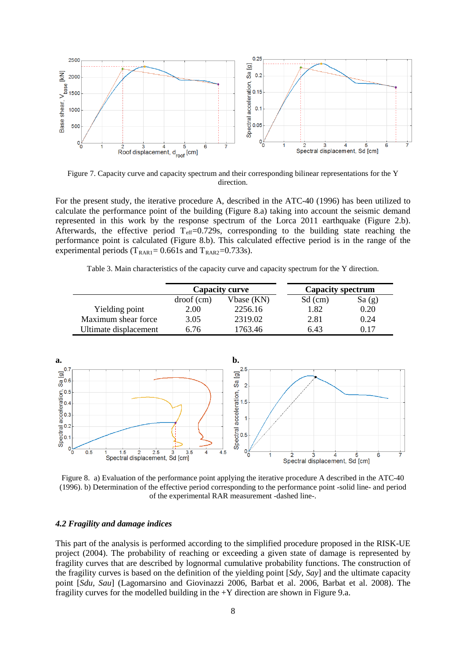

Figure 7. Capacity curve and capacity spectrum and their corresponding bilinear representations for the Y direction.

For the present study, the iterative procedure A, described in the ATC-40 (1996) has been utilized to calculate the performance point of the building (Figure 8.a) taking into account the seismic demand represented in this work by the response spectrum of the Lorca 2011 earthquake (Figure 2.b). Afterwards, the effective period  $T_{\text{eff}}$ =0.729s, corresponding to the building state reaching the performance point is calculated (Figure 8.b). This calculated effective period is in the range of the experimental periods ( $T_{RAR1}$ = 0.661s and  $T_{RAR2}$ =0.733s).

Table 3. Main characteristics of the capacity curve and capacity spectrum for the Y direction.

|                       | <b>Capacity curve</b> |            | <b>Capacity spectrum</b> |       |
|-----------------------|-----------------------|------------|--------------------------|-------|
|                       | $\text{droot}(cm)$    | Vbase (KN) | Sd (cm)                  | Sa(g) |
| Yielding point        | 2.00                  | 2256.16    | 1.82                     | 0.20  |
| Maximum shear force   | 3.05                  | 2319.02    | 2.81                     | 0.24  |
| Ultimate displacement | 6.76                  | 1763.46    | 6.43                     | 0.17  |



Figure 8. a) Evaluation of the performance point applying the iterative procedure A described in the ATC-40 (1996). b) Determination of the effective period corresponding to the performance point -solid line- and period of the experimental RAR measurement -dashed line-.

#### *4.2 Fragility and damage indices*

This part of the analysis is performed according to the simplified procedure proposed in the RISK-UE project (2004). The probability of reaching or exceeding a given state of damage is represented by fragility curves that are described by lognormal cumulative probability functions. The construction of the fragility curves is based on the definition of the yielding point [*Sdy, Say*] and the ultimate capacity point [*Sdu, Sau*] (Lagomarsino and Giovinazzi 2006, Barbat et al. 2006, Barbat et al. 2008). The fragility curves for the modelled building in the  $+Y$  direction are shown in Figure 9.a.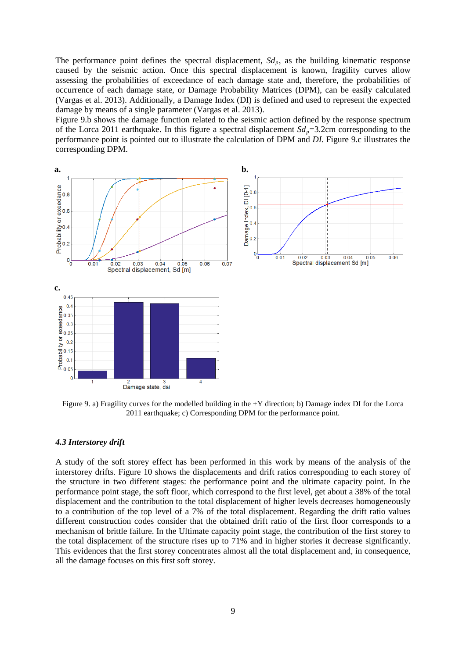The performance point defines the spectral displacement,  $S_{dp}$ , as the building kinematic response caused by the seismic action. Once this spectral displacement is known, fragility curves allow assessing the probabilities of exceedance of each damage state and, therefore, the probabilities of occurrence of each damage state, or Damage Probability Matrices (DPM), can be easily calculated (Vargas et al. 2013). Additionally, a Damage Index (DI) is defined and used to represent the expected damage by means of a single parameter (Vargas et al. 2013).

Figure 9.b shows the damage function related to the seismic action defined by the response spectrum of the Lorca 2011 earthquake. In this figure a spectral displacement  $Sd_p=3.2$ cm corresponding to the performance point is pointed out to illustrate the calculation of DPM and *DI*. Figure 9.c illustrates the corresponding DPM.



Figure 9. a) Fragility curves for the modelled building in the +Y direction; b) Damage index DI for the Lorca 2011 earthquake; c) Corresponding DPM for the performance point.

#### *4.3 Interstorey drift*

A study of the soft storey effect has been performed in this work by means of the analysis of the interstorey drifts. Figure 10 shows the displacements and drift ratios corresponding to each storey of the structure in two different stages: the performance point and the ultimate capacity point. In the performance point stage, the soft floor, which correspond to the first level, get about a 38% of the total displacement and the contribution to the total displacement of higher levels decreases homogeneously to a contribution of the top level of a 7% of the total displacement. Regarding the drift ratio values different construction codes consider that the obtained drift ratio of the first floor corresponds to a mechanism of brittle failure. In the Ultimate capacity point stage, the contribution of the first storey to the total displacement of the structure rises up to 71% and in higher stories it decrease significantly. This evidences that the first storey concentrates almost all the total displacement and, in consequence, all the damage focuses on this first soft storey.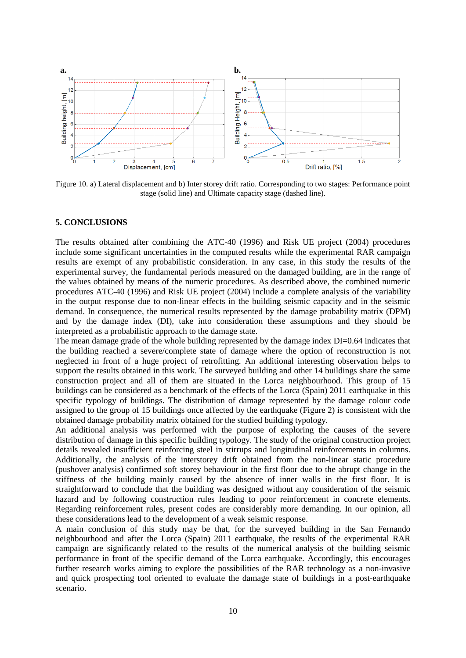

Figure 10. a) Lateral displacement and b) Inter storey drift ratio. Corresponding to two stages: Performance point stage (solid line) and Ultimate capacity stage (dashed line).

## **5. CONCLUSIONS**

The results obtained after combining the ATC-40 (1996) and Risk UE project (2004) procedures include some significant uncertainties in the computed results while the experimental RAR campaign results are exempt of any probabilistic consideration. In any case, in this study the results of the experimental survey, the fundamental periods measured on the damaged building, are in the range of the values obtained by means of the numeric procedures. As described above, the combined numeric procedures ATC-40 (1996) and Risk UE project (2004) include a complete analysis of the variability in the output response due to non-linear effects in the building seismic capacity and in the seismic demand. In consequence, the numerical results represented by the damage probability matrix (DPM) and by the damage index (DI), take into consideration these assumptions and they should be interpreted as a probabilistic approach to the damage state.

The mean damage grade of the whole building represented by the damage index DI=0.64 indicates that the building reached a severe/complete state of damage where the option of reconstruction is not neglected in front of a huge project of retrofitting. An additional interesting observation helps to support the results obtained in this work. The surveyed building and other 14 buildings share the same construction project and all of them are situated in the Lorca neighbourhood. This group of 15 buildings can be considered as a benchmark of the effects of the Lorca (Spain) 2011 earthquake in this specific typology of buildings. The distribution of damage represented by the damage colour code assigned to the group of 15 buildings once affected by the earthquake (Figure 2) is consistent with the obtained damage probability matrix obtained for the studied building typology.

An additional analysis was performed with the purpose of exploring the causes of the severe distribution of damage in this specific building typology. The study of the original construction project details revealed insufficient reinforcing steel in stirrups and longitudinal reinforcements in columns. Additionally, the analysis of the interstorey drift obtained from the non-linear static procedure (pushover analysis) confirmed soft storey behaviour in the first floor due to the abrupt change in the stiffness of the building mainly caused by the absence of inner walls in the first floor. It is straightforward to conclude that the building was designed without any consideration of the seismic hazard and by following construction rules leading to poor reinforcement in concrete elements. Regarding reinforcement rules, present codes are considerably more demanding. In our opinion, all these considerations lead to the development of a weak seismic response.

A main conclusion of this study may be that, for the surveyed building in the San Fernando neighbourhood and after the Lorca (Spain) 2011 earthquake, the results of the experimental RAR campaign are significantly related to the results of the numerical analysis of the building seismic performance in front of the specific demand of the Lorca earthquake. Accordingly, this encourages further research works aiming to explore the possibilities of the RAR technology as a non-invasive and quick prospecting tool oriented to evaluate the damage state of buildings in a post-earthquake scenario.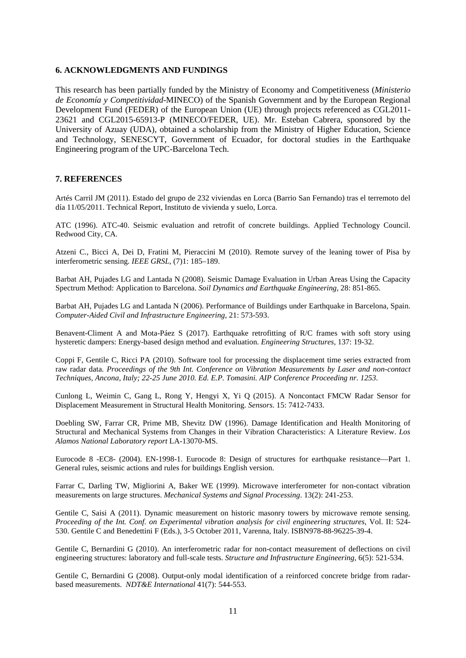#### **6. ACKNOWLEDGMENTS AND FUNDINGS**

This research has been partially funded by the Ministry of Economy and Competitiveness (*Ministerio de Economía y Competitividad*-MINECO) of the Spanish Government and by the European Regional Development Fund (FEDER) of the European Union (UE) through projects referenced as CGL2011- 23621 and CGL2015-65913-P (MINECO/FEDER, UE). Mr. Esteban Cabrera, sponsored by the University of Azuay (UDA), obtained a scholarship from the Ministry of Higher Education, Science and Technology, SENESCYT, Government of Ecuador, for doctoral studies in the Earthquake Engineering program of the UPC-Barcelona Tech.

## **7. REFERENCES**

Artés Carril JM (2011). Estado del grupo de 232 viviendas en Lorca (Barrio San Fernando) tras el terremoto del día 11/05/2011. Technical Report, Instituto de vivienda y suelo, Lorca.

ATC (1996). ATC-40. Seismic evaluation and retrofit of concrete buildings. Applied Technology Council. Redwood City, CA.

Atzeni C., Bicci A, Dei D, Fratini M, Pieraccini M (2010). Remote survey of the leaning tower of Pisa by interferometric sensing*. IEEE GRSL*, (7)1: 185–189.

Barbat AH, Pujades LG and Lantada N (2008). Seismic Damage Evaluation in Urban Areas Using the Capacity Spectrum Method: Application to Barcelona. *Soil Dynamics and Earthquake Engineering*, 28: 851-865.

Barbat AH, Pujades LG and Lantada N (2006). Performance of Buildings under Earthquake in Barcelona, Spain. *Computer-Aided Civil and Infrastructure Engineering*, 21: 573-593.

Benavent-Climent A and Mota-Páez S (2017). Earthquake retrofitting of R/C frames with soft story using hysteretic dampers: Energy-based design method and evaluation. *Engineering Structures,* 137: 19-32.

Coppi F, Gentile C, Ricci PA (2010). Software tool for processing the displacement time series extracted from raw radar data. *Proceedings of the 9th Int. Conference on Vibration Measurements by Laser and non-contact Techniques, Ancona, Italy; 22-25 June 2010. Ed. E.P. Tomasini. AIP Conference Proceeding nr. 1253*.

Cunlong L, Weimin C, Gang L, Rong Y, Hengyi X, Yi Q (2015). A Noncontact FMCW Radar Sensor for Displacement Measurement in Structural Health Monitoring. *Sensors*. 15: 7412-7433.

Doebling SW, Farrar CR, Prime MB, Shevitz DW (1996). Damage Identification and Health Monitoring of Structural and Mechanical Systems from Changes in their Vibration Characteristics: A Literature Review. *Los Alamos National Laboratory report* LA-13070-MS.

Eurocode 8 -EC8- (2004). EN-1998-1. Eurocode 8: Design of structures for earthquake resistance—Part 1. General rules, seismic actions and rules for buildings English version.

Farrar C, Darling TW, Migliorini A, Baker WE (1999). Microwave interferometer for non-contact vibration measurements on large structures. *Mechanical Systems and Signal Processing*. 13(2): 241-253.

Gentile C, Saisi A (2011). Dynamic measurement on historic masonry towers by microwave remote sensing. *Proceeding of the Int. Conf. on Experimental vibration analysis for civil engineering structures*, Vol. II: 524- 530. Gentile C and Benedettini F (Eds.), 3-5 October 2011, Varenna, Italy. ISBN978-88-96225-39-4.

Gentile C, Bernardini G (2010). An interferometric radar for non-contact measurement of deflections on civil engineering structures: laboratory and full-scale tests. *Structure and Infrastructure Engineering,* 6(5): 521-534.

Gentile C, Bernardini G (2008). Output-only modal identification of a reinforced concrete bridge from radarbased measurements. *NDT&E International* 41(7): 544-553.